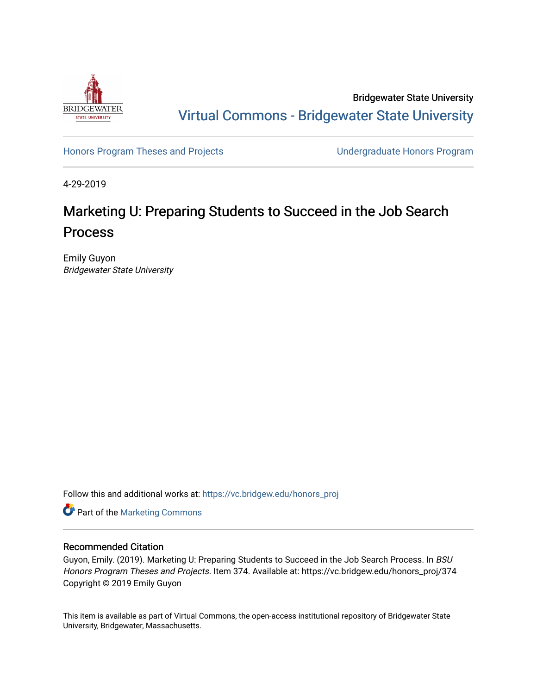

Bridgewater State University [Virtual Commons - Bridgewater State University](https://vc.bridgew.edu/) 

[Honors Program Theses and Projects](https://vc.bridgew.edu/honors_proj) [Undergraduate Honors Program](https://vc.bridgew.edu/honors) 

4-29-2019

# Marketing U: Preparing Students to Succeed in the Job Search Process

Emily Guyon Bridgewater State University

Follow this and additional works at: [https://vc.bridgew.edu/honors\\_proj](https://vc.bridgew.edu/honors_proj?utm_source=vc.bridgew.edu%2Fhonors_proj%2F374&utm_medium=PDF&utm_campaign=PDFCoverPages)

Part of the [Marketing Commons](http://network.bepress.com/hgg/discipline/638?utm_source=vc.bridgew.edu%2Fhonors_proj%2F374&utm_medium=PDF&utm_campaign=PDFCoverPages)

### Recommended Citation

Guyon, Emily. (2019). Marketing U: Preparing Students to Succeed in the Job Search Process. In BSU Honors Program Theses and Projects. Item 374. Available at: https://vc.bridgew.edu/honors\_proj/374 Copyright © 2019 Emily Guyon

This item is available as part of Virtual Commons, the open-access institutional repository of Bridgewater State University, Bridgewater, Massachusetts.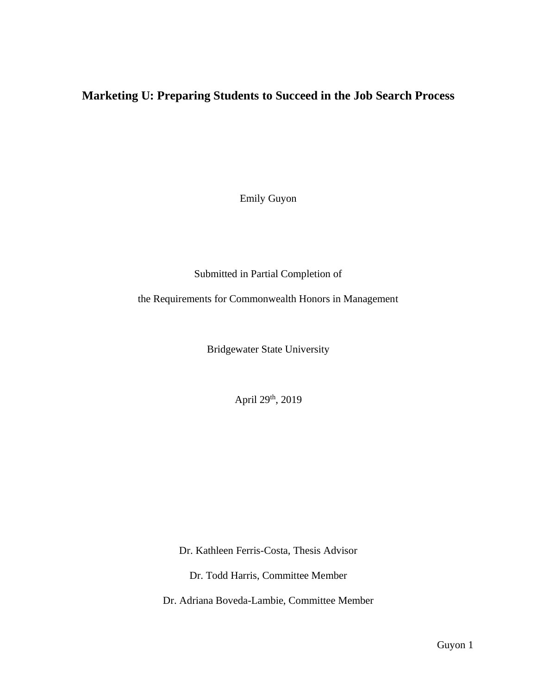# **Marketing U: Preparing Students to Succeed in the Job Search Process**

Emily Guyon

Submitted in Partial Completion of

the Requirements for Commonwealth Honors in Management

Bridgewater State University

April 29<sup>th</sup>, 2019

Dr. Kathleen Ferris-Costa, Thesis Advisor

Dr. Todd Harris, Committee Member

Dr. Adriana Boveda-Lambie, Committee Member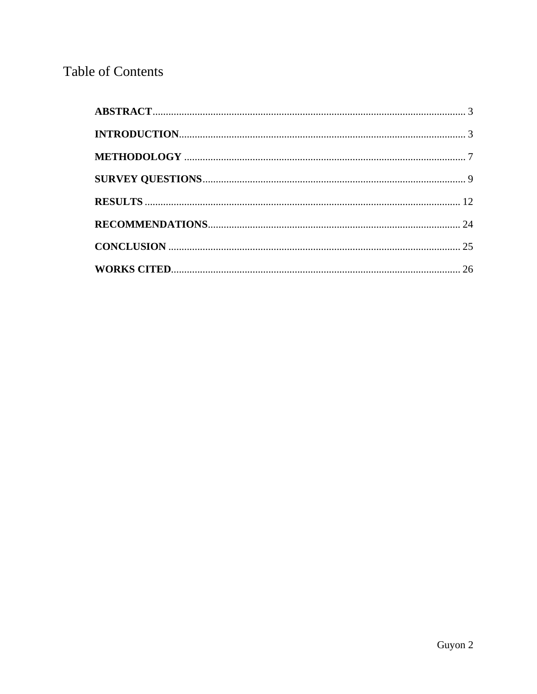# **Table of Contents**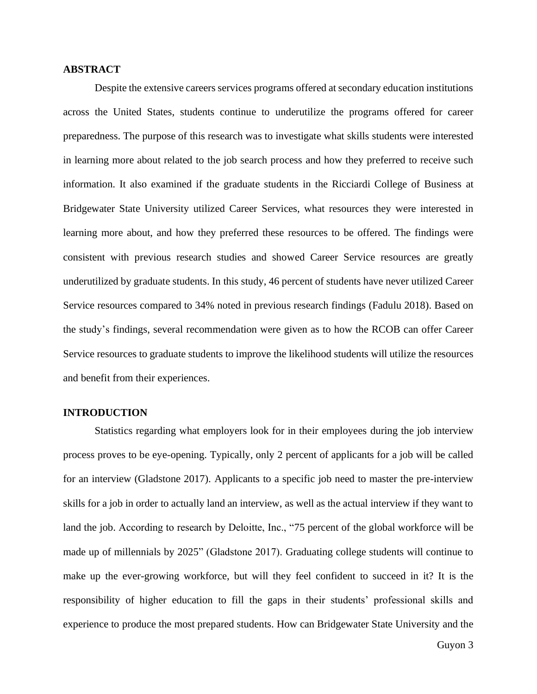#### <span id="page-3-0"></span>**ABSTRACT**

Despite the extensive careers services programs offered at secondary education institutions across the United States, students continue to underutilize the programs offered for career preparedness. The purpose of this research was to investigate what skills students were interested in learning more about related to the job search process and how they preferred to receive such information. It also examined if the graduate students in the Ricciardi College of Business at Bridgewater State University utilized Career Services, what resources they were interested in learning more about, and how they preferred these resources to be offered. The findings were consistent with previous research studies and showed Career Service resources are greatly underutilized by graduate students. In this study, 46 percent of students have never utilized Career Service resources compared to 34% noted in previous research findings (Fadulu 2018). Based on the study's findings, several recommendation were given as to how the RCOB can offer Career Service resources to graduate students to improve the likelihood students will utilize the resources and benefit from their experiences.

#### <span id="page-3-1"></span>**INTRODUCTION**

Statistics regarding what employers look for in their employees during the job interview process proves to be eye-opening. Typically, only 2 percent of applicants for a job will be called for an interview (Gladstone 2017). Applicants to a specific job need to master the pre-interview skills for a job in order to actually land an interview, as well as the actual interview if they want to land the job. According to research by Deloitte, Inc., "75 percent of the global workforce will be made up of millennials by 2025" (Gladstone 2017). Graduating college students will continue to make up the ever-growing workforce, but will they feel confident to succeed in it? It is the responsibility of higher education to fill the gaps in their students' professional skills and experience to produce the most prepared students. How can Bridgewater State University and the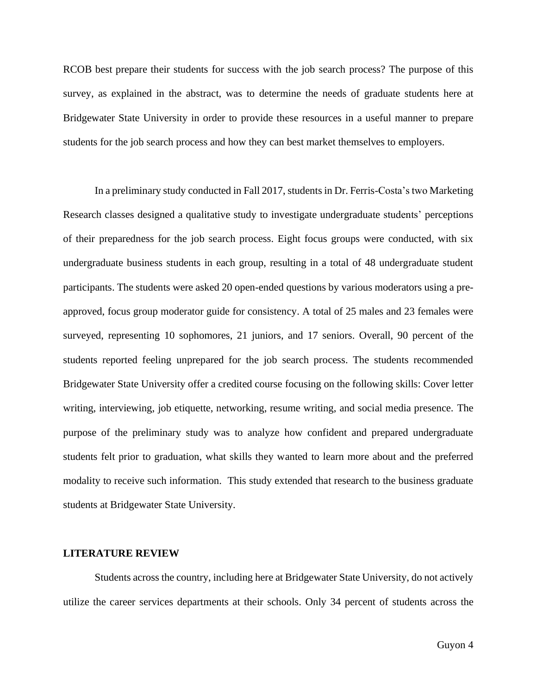RCOB best prepare their students for success with the job search process? The purpose of this survey, as explained in the abstract, was to determine the needs of graduate students here at Bridgewater State University in order to provide these resources in a useful manner to prepare students for the job search process and how they can best market themselves to employers.

In a preliminary study conducted in Fall 2017, students in Dr. Ferris-Costa's two Marketing Research classes designed a qualitative study to investigate undergraduate students' perceptions of their preparedness for the job search process. Eight focus groups were conducted, with six undergraduate business students in each group, resulting in a total of 48 undergraduate student participants. The students were asked 20 open-ended questions by various moderators using a preapproved, focus group moderator guide for consistency. A total of 25 males and 23 females were surveyed, representing 10 sophomores, 21 juniors, and 17 seniors. Overall, 90 percent of the students reported feeling unprepared for the job search process. The students recommended Bridgewater State University offer a credited course focusing on the following skills: Cover letter writing, interviewing, job etiquette, networking, resume writing, and social media presence. The purpose of the preliminary study was to analyze how confident and prepared undergraduate students felt prior to graduation, what skills they wanted to learn more about and the preferred modality to receive such information. This study extended that research to the business graduate students at Bridgewater State University.

#### **LITERATURE REVIEW**

Students across the country, including here at Bridgewater State University, do not actively utilize the career services departments at their schools. Only 34 percent of students across the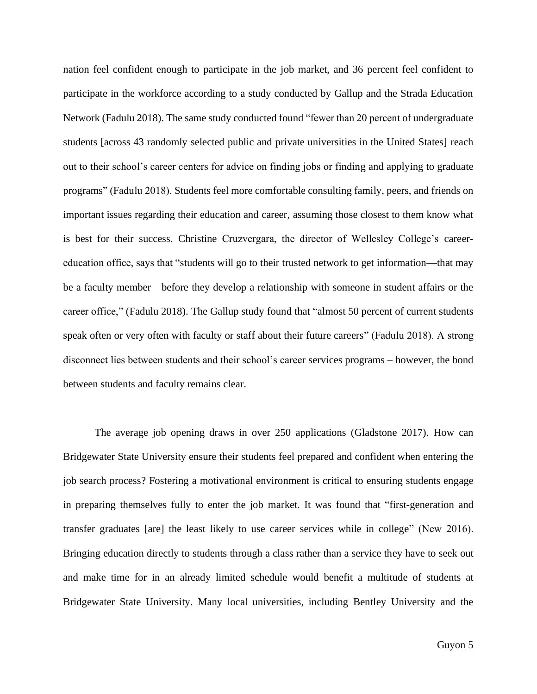nation feel confident enough to participate in the job market, and 36 percent feel confident to participate in the workforce according to a study conducted by Gallup and the Strada Education Network (Fadulu 2018). The same study conducted found "fewer than 20 percent of undergraduate students [across 43 randomly selected public and private universities in the United States] reach out to their school's career centers for advice on finding jobs or finding and applying to graduate programs" (Fadulu 2018). Students feel more comfortable consulting family, peers, and friends on important issues regarding their education and career, assuming those closest to them know what is best for their success. Christine Cruzvergara, the director of Wellesley College's careereducation office, says that "students will go to their trusted network to get information—that may be a faculty member—before they develop a relationship with someone in student affairs or the career office," (Fadulu 2018). The Gallup study found that "almost 50 percent of current students speak often or very often with faculty or staff about their future careers" (Fadulu 2018). A strong disconnect lies between students and their school's career services programs – however, the bond between students and faculty remains clear.

The average job opening draws in over 250 applications (Gladstone 2017). How can Bridgewater State University ensure their students feel prepared and confident when entering the job search process? Fostering a motivational environment is critical to ensuring students engage in preparing themselves fully to enter the job market. It was found that "first-generation and transfer graduates [are] the least likely to use career services while in college" (New 2016). Bringing education directly to students through a class rather than a service they have to seek out and make time for in an already limited schedule would benefit a multitude of students at Bridgewater State University. Many local universities, including Bentley University and the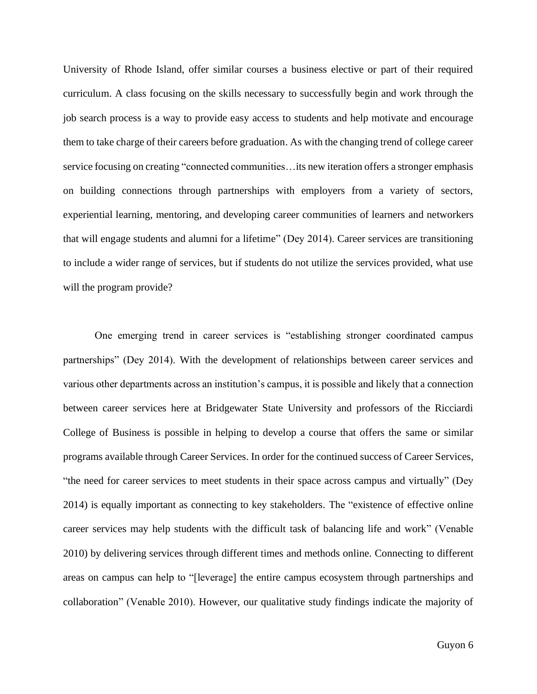University of Rhode Island, offer similar courses a business elective or part of their required curriculum. A class focusing on the skills necessary to successfully begin and work through the job search process is a way to provide easy access to students and help motivate and encourage them to take charge of their careers before graduation. As with the changing trend of college career service focusing on creating "connected communities…its new iteration offers a stronger emphasis on building connections through partnerships with employers from a variety of sectors, experiential learning, mentoring, and developing career communities of learners and networkers that will engage students and alumni for a lifetime" (Dey 2014). Career services are transitioning to include a wider range of services, but if students do not utilize the services provided, what use will the program provide?

One emerging trend in career services is "establishing stronger coordinated campus partnerships" (Dey 2014). With the development of relationships between career services and various other departments across an institution's campus, it is possible and likely that a connection between career services here at Bridgewater State University and professors of the Ricciardi College of Business is possible in helping to develop a course that offers the same or similar programs available through Career Services. In order for the continued success of Career Services, "the need for career services to meet students in their space across campus and virtually" (Dey 2014) is equally important as connecting to key stakeholders. The "existence of effective online career services may help students with the difficult task of balancing life and work" (Venable 2010) by delivering services through different times and methods online. Connecting to different areas on campus can help to "[leverage] the entire campus ecosystem through partnerships and collaboration" (Venable 2010). However, our qualitative study findings indicate the majority of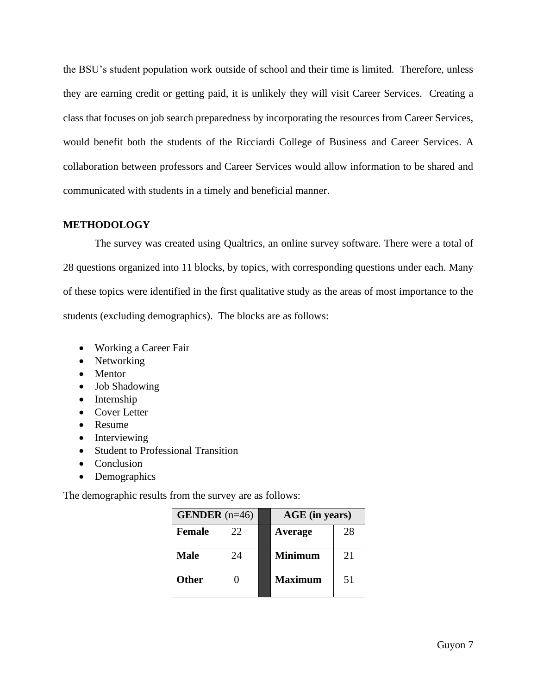the BSU's student population work outside of school and their time is limited. Therefore, unless they are earning credit or getting paid, it is unlikely they will visit Career Services. Creating a class that focuses on job search preparedness by incorporating the resources from Career Services, would benefit both the students of the Ricciardi College of Business and Career Services. A collaboration between professors and Career Services would allow information to be shared and communicated with students in a timely and beneficial manner.

### <span id="page-7-0"></span>**METHODOLOGY**

The survey was created using Qualtrics, an online survey software. There were a total of 28 questions organized into 11 blocks, by topics, with corresponding questions under each. Many of these topics were identified in the first qualitative study as the areas of most importance to the students (excluding demographics). The blocks are as follows:

- Working a Career Fair
- Networking
- Mentor
- Job Shadowing
- Internship
- Cover Letter
- Resume
- Interviewing
- Student to Professional Transition
- Conclusion
- Demographics

The demographic results from the survey are as follows:

| <b>GENDER</b> $(n=46)$ |     | AGE (in years) |    |
|------------------------|-----|----------------|----|
| Female                 | 22. | Average        | 28 |
| <b>Male</b>            | 24  | <b>Minimum</b> | 21 |
| <b>Other</b>           |     | <b>Maximum</b> | 51 |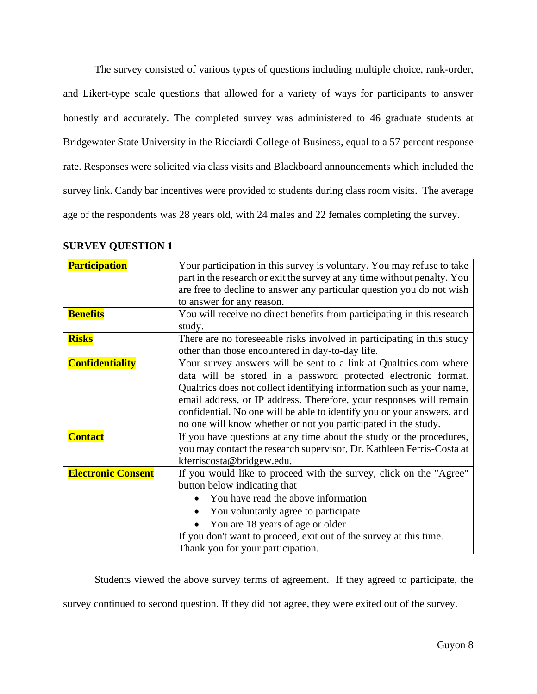The survey consisted of various types of questions including multiple choice, rank-order, and Likert-type scale questions that allowed for a variety of ways for participants to answer honestly and accurately. The completed survey was administered to 46 graduate students at Bridgewater State University in the Ricciardi College of Business, equal to a 57 percent response rate. Responses were solicited via class visits and Blackboard announcements which included the survey link. Candy bar incentives were provided to students during class room visits. The average age of the respondents was 28 years old, with 24 males and 22 females completing the survey.

| <b>Participation</b>      | Your participation in this survey is voluntary. You may refuse to take<br>part in the research or exit the survey at any time without penalty. You                                                                                                                                                                                                                                                                              |  |
|---------------------------|---------------------------------------------------------------------------------------------------------------------------------------------------------------------------------------------------------------------------------------------------------------------------------------------------------------------------------------------------------------------------------------------------------------------------------|--|
|                           | are free to decline to answer any particular question you do not wish                                                                                                                                                                                                                                                                                                                                                           |  |
|                           | to answer for any reason.                                                                                                                                                                                                                                                                                                                                                                                                       |  |
| <b>Benefits</b>           | You will receive no direct benefits from participating in this research<br>study.                                                                                                                                                                                                                                                                                                                                               |  |
| <b>Risks</b>              | There are no foreseeable risks involved in participating in this study<br>other than those encountered in day-to-day life.                                                                                                                                                                                                                                                                                                      |  |
| <b>Confidentiality</b>    | Your survey answers will be sent to a link at Qualtrics.com where<br>data will be stored in a password protected electronic format.<br>Qualtrics does not collect identifying information such as your name,<br>email address, or IP address. Therefore, your responses will remain<br>confidential. No one will be able to identify you or your answers, and<br>no one will know whether or not you participated in the study. |  |
| <b>Contact</b>            | If you have questions at any time about the study or the procedures,<br>you may contact the research supervisor, Dr. Kathleen Ferris-Costa at<br>kferriscosta@bridgew.edu.                                                                                                                                                                                                                                                      |  |
| <b>Electronic Consent</b> | If you would like to proceed with the survey, click on the "Agree"<br>button below indicating that<br>You have read the above information<br>You voluntarily agree to participate<br>You are 18 years of age or older<br>If you don't want to proceed, exit out of the survey at this time.<br>Thank you for your participation.                                                                                                |  |

## **SURVEY QUESTION 1**

Students viewed the above survey terms of agreement. If they agreed to participate, the

survey continued to second question. If they did not agree, they were exited out of the survey.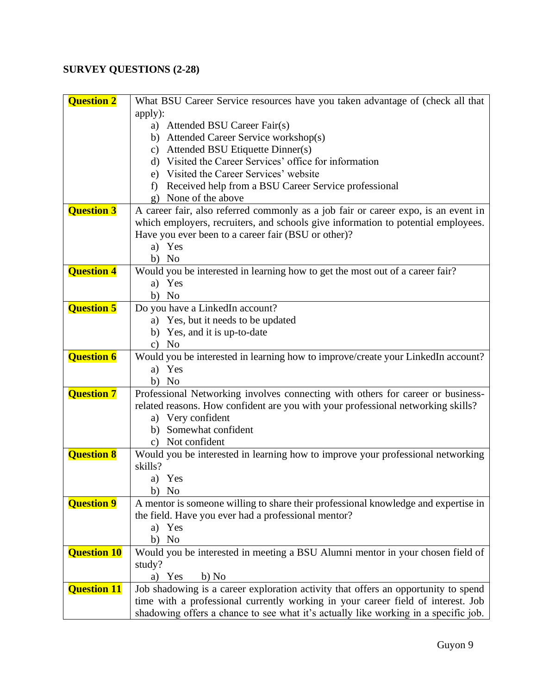# <span id="page-9-0"></span>**SURVEY QUESTIONS (2-28)**

| <b>Question 2</b>  | What BSU Career Service resources have you taken advantage of (check all that       |
|--------------------|-------------------------------------------------------------------------------------|
|                    | apply):                                                                             |
|                    | a) Attended BSU Career Fair(s)                                                      |
|                    | b) Attended Career Service workshop(s)                                              |
|                    | c) Attended BSU Etiquette Dinner(s)                                                 |
|                    | d) Visited the Career Services' office for information                              |
|                    | e) Visited the Career Services' website                                             |
|                    | f) Received help from a BSU Career Service professional                             |
|                    | g) None of the above                                                                |
| <b>Question 3</b>  | A career fair, also referred commonly as a job fair or career expo, is an event in  |
|                    | which employers, recruiters, and schools give information to potential employees.   |
|                    | Have you ever been to a career fair (BSU or other)?                                 |
|                    | a) Yes                                                                              |
|                    | b) No                                                                               |
| <b>Question 4</b>  | Would you be interested in learning how to get the most out of a career fair?       |
|                    | a) Yes                                                                              |
| <b>Question 5</b>  | b) No<br>Do you have a LinkedIn account?                                            |
|                    | a) Yes, but it needs to be updated                                                  |
|                    | b) Yes, and it is up-to-date                                                        |
|                    | $c)$ No                                                                             |
| <b>Question 6</b>  | Would you be interested in learning how to improve/create your LinkedIn account?    |
|                    | a) Yes                                                                              |
|                    | b) No                                                                               |
| <b>Question 7</b>  | Professional Networking involves connecting with others for career or business-     |
|                    | related reasons. How confident are you with your professional networking skills?    |
|                    | a) Very confident                                                                   |
|                    | b) Somewhat confident                                                               |
|                    | c) Not confident                                                                    |
| <b>Question 8</b>  | Would you be interested in learning how to improve your professional networking     |
|                    | skills?                                                                             |
|                    | a) Yes                                                                              |
|                    | b) No                                                                               |
| <b>Question 9</b>  | A mentor is someone willing to share their professional knowledge and expertise in  |
|                    | the field. Have you ever had a professional mentor?                                 |
|                    | a) Yes                                                                              |
|                    | b) No                                                                               |
| <b>Question 10</b> | Would you be interested in meeting a BSU Alumni mentor in your chosen field of      |
|                    | study?                                                                              |
|                    | a) Yes<br>b) No                                                                     |
| <b>Question 11</b> | Job shadowing is a career exploration activity that offers an opportunity to spend  |
|                    | time with a professional currently working in your career field of interest. Job    |
|                    | shadowing offers a chance to see what it's actually like working in a specific job. |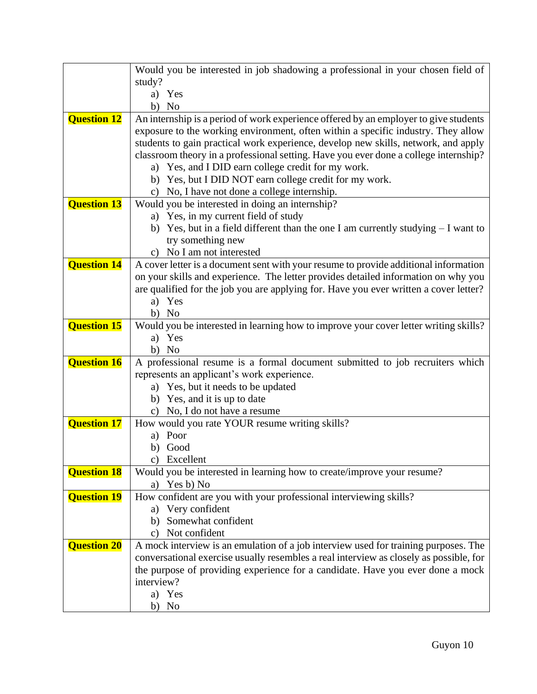|                    | Would you be interested in job shadowing a professional in your chosen field of                                                                                            |
|--------------------|----------------------------------------------------------------------------------------------------------------------------------------------------------------------------|
|                    | study?                                                                                                                                                                     |
|                    | a) Yes                                                                                                                                                                     |
|                    | b) No                                                                                                                                                                      |
| <b>Question 12</b> | An internship is a period of work experience offered by an employer to give students                                                                                       |
|                    | exposure to the working environment, often within a specific industry. They allow                                                                                          |
|                    | students to gain practical work experience, develop new skills, network, and apply<br>classroom theory in a professional setting. Have you ever done a college internship? |
|                    | a) Yes, and I DID earn college credit for my work.                                                                                                                         |
|                    | b) Yes, but I DID NOT earn college credit for my work.                                                                                                                     |
|                    | c) No, I have not done a college internship.                                                                                                                               |
| <b>Question 13</b> | Would you be interested in doing an internship?                                                                                                                            |
|                    | a) Yes, in my current field of study                                                                                                                                       |
|                    | b) Yes, but in a field different than the one I am currently studying $-I$ want to                                                                                         |
|                    | try something new                                                                                                                                                          |
|                    | c) No I am not interested                                                                                                                                                  |
| <b>Question 14</b> | A cover letter is a document sent with your resume to provide additional information                                                                                       |
|                    | on your skills and experience. The letter provides detailed information on why you                                                                                         |
|                    | are qualified for the job you are applying for. Have you ever written a cover letter?                                                                                      |
|                    | a) Yes                                                                                                                                                                     |
|                    | b) No                                                                                                                                                                      |
| <b>Question 15</b> | Would you be interested in learning how to improve your cover letter writing skills?                                                                                       |
|                    | a) Yes                                                                                                                                                                     |
|                    | b) No                                                                                                                                                                      |
| <b>Question 16</b> | A professional resume is a formal document submitted to job recruiters which                                                                                               |
|                    | represents an applicant's work experience.                                                                                                                                 |
|                    | a) Yes, but it needs to be updated                                                                                                                                         |
|                    | b) Yes, and it is up to date                                                                                                                                               |
|                    | c) No, I do not have a resume                                                                                                                                              |
| <b>Question 17</b> | How would you rate YOUR resume writing skills?                                                                                                                             |
|                    | Poor<br>a)                                                                                                                                                                 |
|                    | b) Good                                                                                                                                                                    |
| <b>Question 18</b> | c) Excellent                                                                                                                                                               |
|                    | Would you be interested in learning how to create/improve your resume?<br>a) Yes b) No                                                                                     |
| <b>Question 19</b> | How confident are you with your professional interviewing skills?                                                                                                          |
|                    | Very confident<br>a)                                                                                                                                                       |
|                    | Somewhat confident<br>b)                                                                                                                                                   |
|                    | Not confident<br>$\mathbf{c})$                                                                                                                                             |
| <b>Question 20</b> | A mock interview is an emulation of a job interview used for training purposes. The                                                                                        |
|                    | conversational exercise usually resembles a real interview as closely as possible, for                                                                                     |
|                    | the purpose of providing experience for a candidate. Have you ever done a mock                                                                                             |
|                    | interview?                                                                                                                                                                 |
|                    | a) Yes                                                                                                                                                                     |
|                    | No<br>b)                                                                                                                                                                   |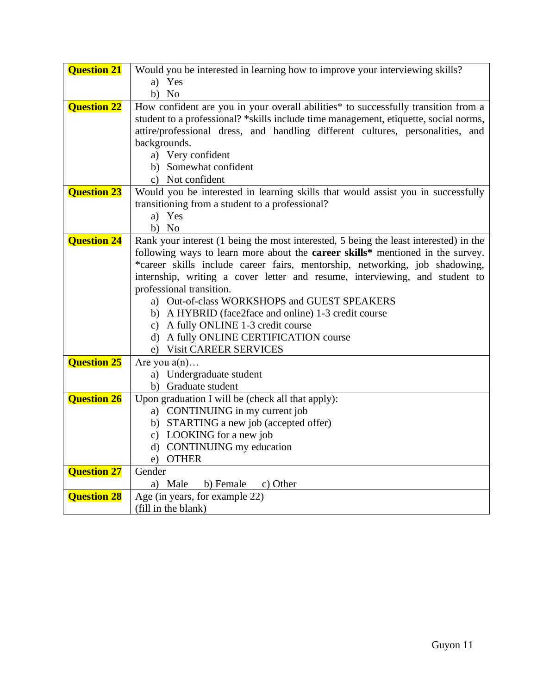<span id="page-11-0"></span>

| Would you be interested in learning how to improve your interviewing skills?<br>a) Yes                                                                                                                                                                                                            |
|---------------------------------------------------------------------------------------------------------------------------------------------------------------------------------------------------------------------------------------------------------------------------------------------------|
| $b)$ No                                                                                                                                                                                                                                                                                           |
| How confident are you in your overall abilities* to successfully transition from a<br>student to a professional? *skills include time management, etiquette, social norms,<br>attire/professional dress, and handling different cultures, personalities, and<br>backgrounds.<br>a) Very confident |
| b) Somewhat confident                                                                                                                                                                                                                                                                             |
| c) Not confident                                                                                                                                                                                                                                                                                  |
| Would you be interested in learning skills that would assist you in successfully<br>transitioning from a student to a professional?<br>a) Yes<br>$b)$ No                                                                                                                                          |
| Rank your interest (1 being the most interested, 5 being the least interested) in the<br>following ways to learn more about the <b>career skills</b> * mentioned in the survey.                                                                                                                   |
| *career skills include career fairs, mentorship, networking, job shadowing,                                                                                                                                                                                                                       |
| internship, writing a cover letter and resume, interviewing, and student to                                                                                                                                                                                                                       |
| professional transition.                                                                                                                                                                                                                                                                          |
| a) Out-of-class WORKSHOPS and GUEST SPEAKERS<br>b) A HYBRID (face2face and online) 1-3 credit course                                                                                                                                                                                              |
| c) A fully ONLINE 1-3 credit course                                                                                                                                                                                                                                                               |
| d) A fully ONLINE CERTIFICATION course                                                                                                                                                                                                                                                            |
| e) Visit CAREER SERVICES                                                                                                                                                                                                                                                                          |
| Are you $a(n)$                                                                                                                                                                                                                                                                                    |
| a) Undergraduate student                                                                                                                                                                                                                                                                          |
| b) Graduate student                                                                                                                                                                                                                                                                               |
| Upon graduation I will be (check all that apply):<br>a) CONTINUING in my current job                                                                                                                                                                                                              |
| b) STARTING a new job (accepted offer)                                                                                                                                                                                                                                                            |
| c) LOOKING for a new job                                                                                                                                                                                                                                                                          |
| d) CONTINUING my education                                                                                                                                                                                                                                                                        |
| e) OTHER                                                                                                                                                                                                                                                                                          |
| Gender                                                                                                                                                                                                                                                                                            |
| a) Male<br>c) Other<br>b) Female                                                                                                                                                                                                                                                                  |
| Age (in years, for example 22)<br>(fill in the blank)                                                                                                                                                                                                                                             |
|                                                                                                                                                                                                                                                                                                   |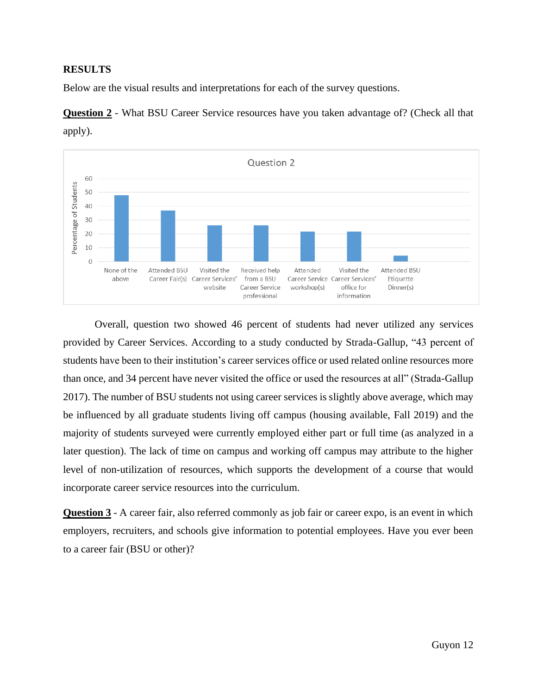## **RESULTS**

Below are the visual results and interpretations for each of the survey questions.



**Question 2** - What BSU Career Service resources have you taken advantage of? (Check all that apply).

Overall, question two showed 46 percent of students had never utilized any services provided by Career Services. According to a study conducted by Strada-Gallup, "43 percent of students have been to their institution's career services office or used related online resources more than once, and 34 percent have never visited the office or used the resources at all" (Strada-Gallup 2017). The number of BSU students not using career services is slightly above average, which may be influenced by all graduate students living off campus (housing available, Fall 2019) and the majority of students surveyed were currently employed either part or full time (as analyzed in a later question). The lack of time on campus and working off campus may attribute to the higher level of non-utilization of resources, which supports the development of a course that would incorporate career service resources into the curriculum.

**Question 3** - A career fair, also referred commonly as job fair or career expo, is an event in which employers, recruiters, and schools give information to potential employees. Have you ever been to a career fair (BSU or other)?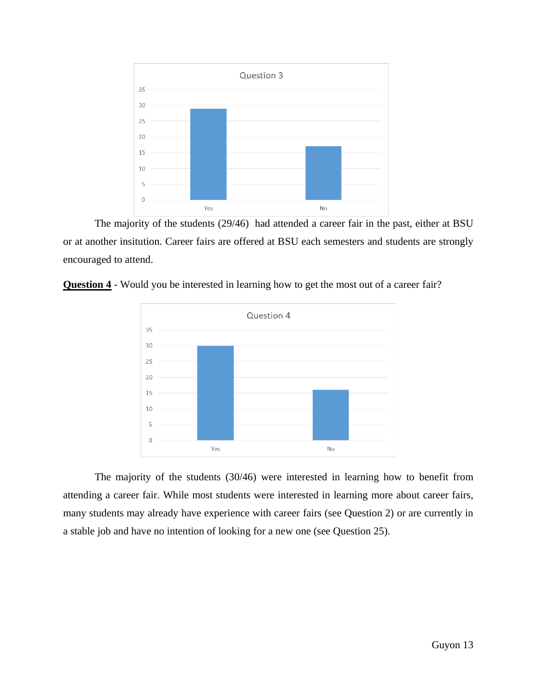

The majority of the students (29/46) had attended a career fair in the past, either at BSU or at another insitution. Career fairs are offered at BSU each semesters and students are strongly encouraged to attend.



**Question 4** - Would you be interested in learning how to get the most out of a career fair?

The majority of the students (30/46) were interested in learning how to benefit from attending a career fair. While most students were interested in learning more about career fairs, many students may already have experience with career fairs (see Question 2) or are currently in a stable job and have no intention of looking for a new one (see Question 25).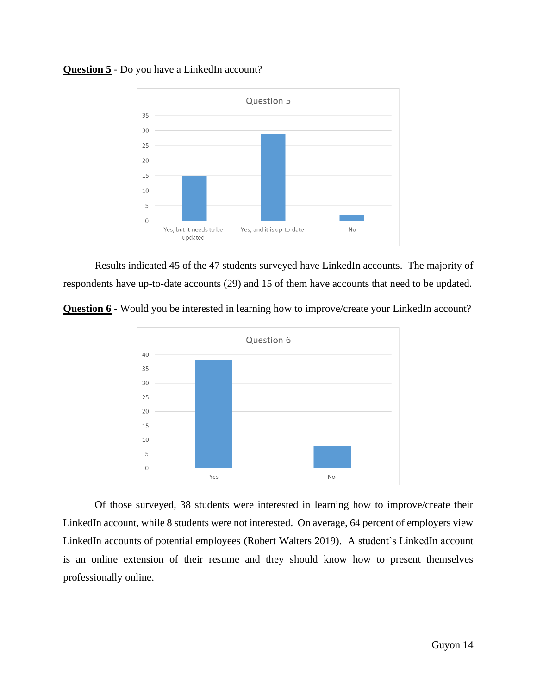

## **Question 5** - Do you have a LinkedIn account?

Results indicated 45 of the 47 students surveyed have LinkedIn accounts. The majority of respondents have up-to-date accounts (29) and 15 of them have accounts that need to be updated.





Of those surveyed, 38 students were interested in learning how to improve/create their LinkedIn account, while 8 students were not interested. On average, 64 percent of employers view LinkedIn accounts of potential employees (Robert Walters 2019). A student's LinkedIn account is an online extension of their resume and they should know how to present themselves professionally online.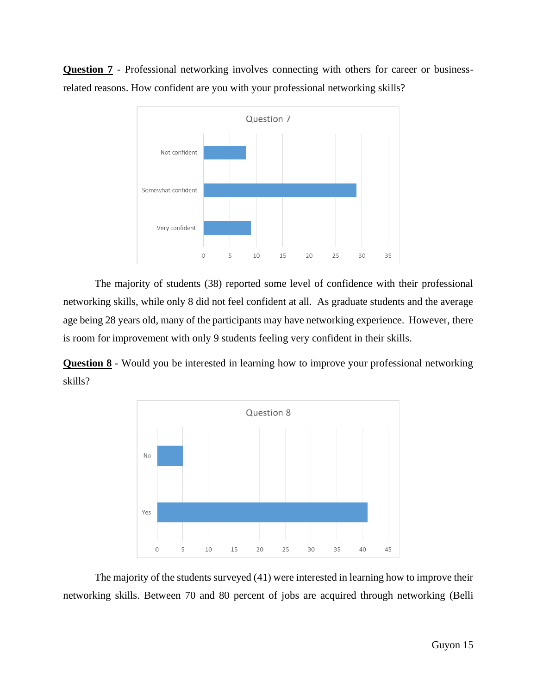**Question 7** - Professional networking involves connecting with others for career or businessrelated reasons. How confident are you with your professional networking skills?



The majority of students (38) reported some level of confidence with their professional networking skills, while only 8 did not feel confident at all. As graduate students and the average age being 28 years old, many of the participants may have networking experience. However, there is room for improvement with only 9 students feeling very confident in their skills.

**Question 8** - Would you be interested in learning how to improve your professional networking skills?



The majority of the students surveyed (41) were interested in learning how to improve their networking skills. Between 70 and 80 percent of jobs are acquired through networking (Belli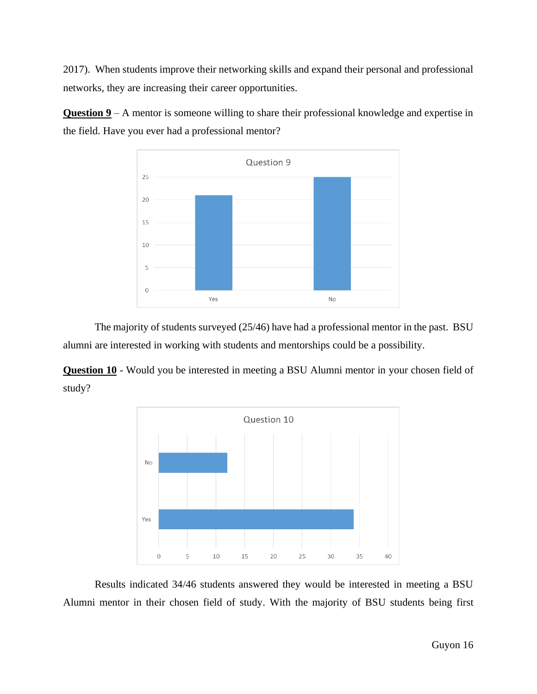2017). When students improve their networking skills and expand their personal and professional networks, they are increasing their career opportunities.

**Question 9** – A mentor is someone willing to share their professional knowledge and expertise in the field. Have you ever had a professional mentor?



The majority of students surveyed (25/46) have had a professional mentor in the past. BSU alumni are interested in working with students and mentorships could be a possibility.

**Question 10** - Would you be interested in meeting a BSU Alumni mentor in your chosen field of study?



Results indicated 34/46 students answered they would be interested in meeting a BSU Alumni mentor in their chosen field of study. With the majority of BSU students being first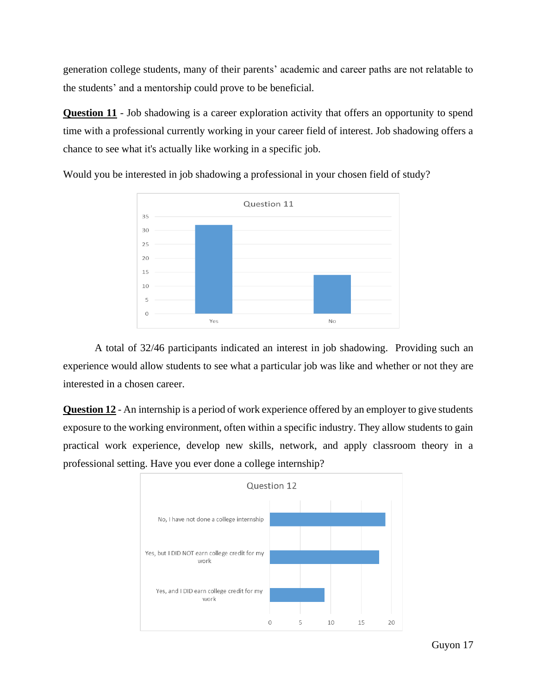generation college students, many of their parents' academic and career paths are not relatable to the students' and a mentorship could prove to be beneficial.

**Question 11** - Job shadowing is a career exploration activity that offers an opportunity to spend time with a professional currently working in your career field of interest. Job shadowing offers a chance to see what it's actually like working in a specific job.



Would you be interested in job shadowing a professional in your chosen field of study?

A total of 32/46 participants indicated an interest in job shadowing. Providing such an experience would allow students to see what a particular job was like and whether or not they are interested in a chosen career.

**Question 12** - An internship is a period of work experience offered by an employer to give students exposure to the working environment, often within a specific industry. They allow students to gain practical work experience, develop new skills, network, and apply classroom theory in a professional setting. Have you ever done a college internship?

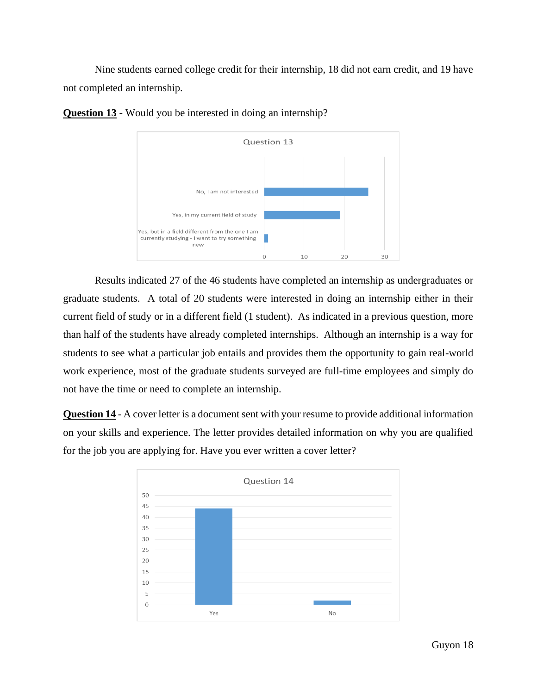Nine students earned college credit for their internship, 18 did not earn credit, and 19 have not completed an internship.



**Question 13** - Would you be interested in doing an internship?

Results indicated 27 of the 46 students have completed an internship as undergraduates or graduate students. A total of 20 students were interested in doing an internship either in their current field of study or in a different field (1 student). As indicated in a previous question, more than half of the students have already completed internships. Although an internship is a way for students to see what a particular job entails and provides them the opportunity to gain real-world work experience, most of the graduate students surveyed are full-time employees and simply do not have the time or need to complete an internship.

**Question 14** - A cover letter is a document sent with your resume to provide additional information on your skills and experience. The letter provides detailed information on why you are qualified for the job you are applying for. Have you ever written a cover letter?

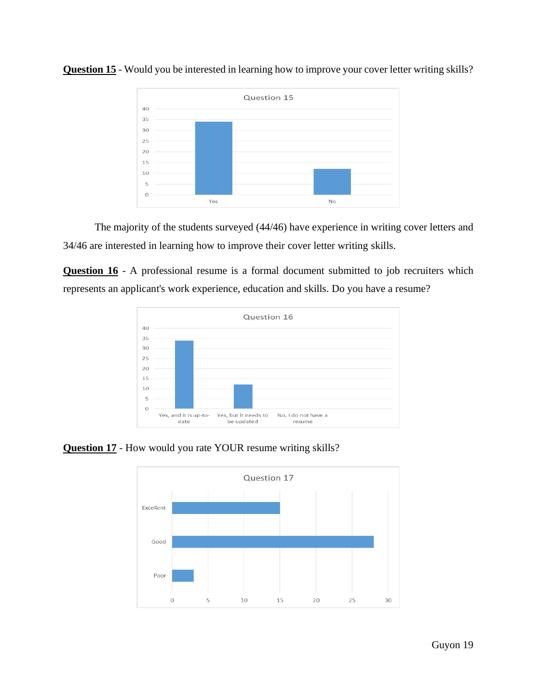

**Question 15** - Would you be interested in learning how to improve your cover letter writing skills?

The majority of the students surveyed (44/46) have experience in writing cover letters and 34/46 are interested in learning how to improve their cover letter writing skills.

**Question 16** - A professional resume is a formal document submitted to job recruiters which represents an applicant's work experience, education and skills. Do you have a resume?



**Question 17** - How would you rate YOUR resume writing skills?

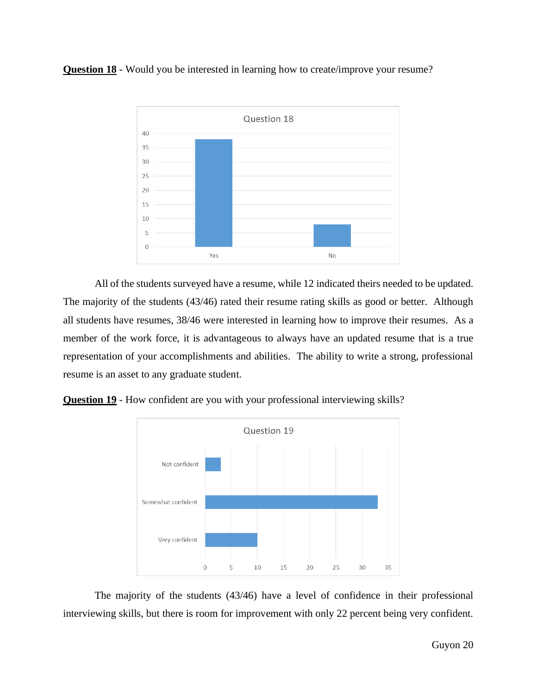**Question 18** - Would you be interested in learning how to create/improve your resume?



All of the students surveyed have a resume, while 12 indicated theirs needed to be updated. The majority of the students (43/46) rated their resume rating skills as good or better. Although all students have resumes, 38/46 were interested in learning how to improve their resumes. As a member of the work force, it is advantageous to always have an updated resume that is a true representation of your accomplishments and abilities. The ability to write a strong, professional resume is an asset to any graduate student.





The majority of the students (43/46) have a level of confidence in their professional interviewing skills, but there is room for improvement with only 22 percent being very confident.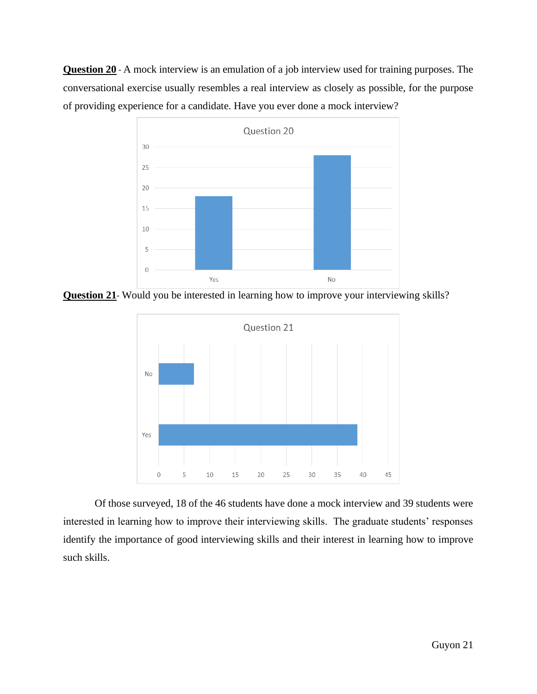**Question 20** - A mock interview is an emulation of a job interview used for training purposes. The conversational exercise usually resembles a real interview as closely as possible, for the purpose of providing experience for a candidate. Have you ever done a mock interview?



**Question 21**- Would you be interested in learning how to improve your interviewing skills?



Of those surveyed, 18 of the 46 students have done a mock interview and 39 students were interested in learning how to improve their interviewing skills. The graduate students' responses identify the importance of good interviewing skills and their interest in learning how to improve such skills.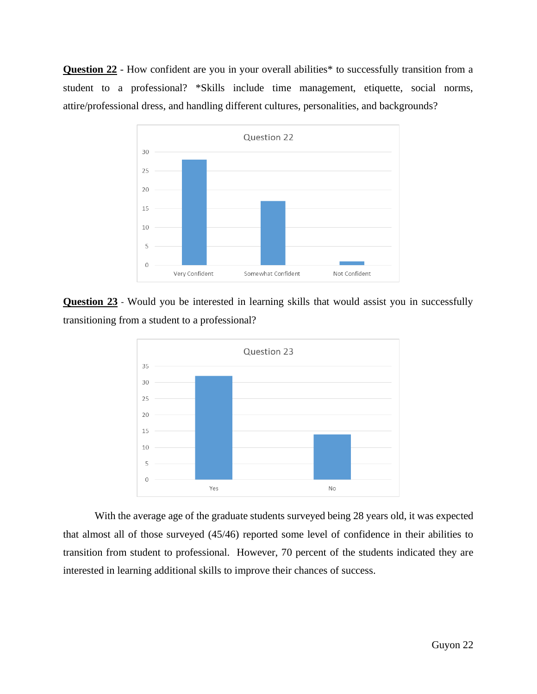**Question 22** - How confident are you in your overall abilities\* to successfully transition from a student to a professional? \*Skills include time management, etiquette, social norms, attire/professional dress, and handling different cultures, personalities, and backgrounds?



**Question 23** - Would you be interested in learning skills that would assist you in successfully transitioning from a student to a professional?



With the average age of the graduate students surveyed being 28 years old, it was expected that almost all of those surveyed (45/46) reported some level of confidence in their abilities to transition from student to professional. However, 70 percent of the students indicated they are interested in learning additional skills to improve their chances of success.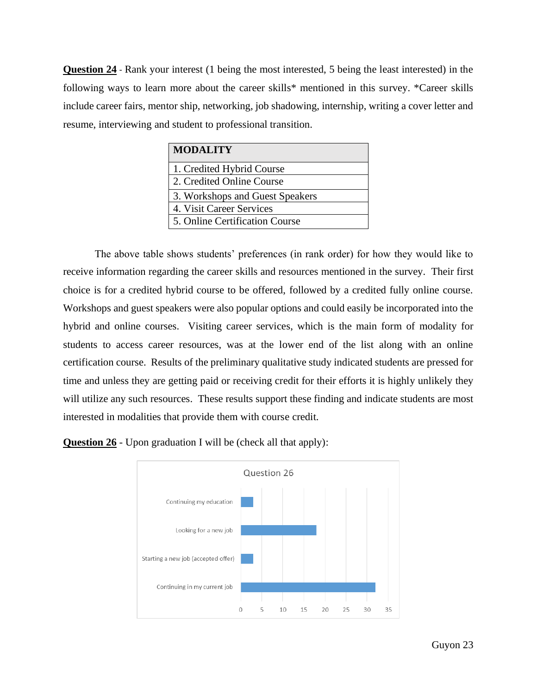**Question 24** - Rank your interest (1 being the most interested, 5 being the least interested) in the following ways to learn more about the career skills\* mentioned in this survey. \*Career skills include career fairs, mentor ship, networking, job shadowing, internship, writing a cover letter and resume, interviewing and student to professional transition.

| <b>MODALITY</b>                 |
|---------------------------------|
| 1. Credited Hybrid Course       |
| 2. Credited Online Course       |
| 3. Workshops and Guest Speakers |
| 4. Visit Career Services        |
| 5. Online Certification Course  |

The above table shows students' preferences (in rank order) for how they would like to receive information regarding the career skills and resources mentioned in the survey. Their first choice is for a credited hybrid course to be offered, followed by a credited fully online course. Workshops and guest speakers were also popular options and could easily be incorporated into the hybrid and online courses. Visiting career services, which is the main form of modality for students to access career resources, was at the lower end of the list along with an online certification course. Results of the preliminary qualitative study indicated students are pressed for time and unless they are getting paid or receiving credit for their efforts it is highly unlikely they will utilize any such resources. These results support these finding and indicate students are most interested in modalities that provide them with course credit.



**Question 26** - Upon graduation I will be (check all that apply):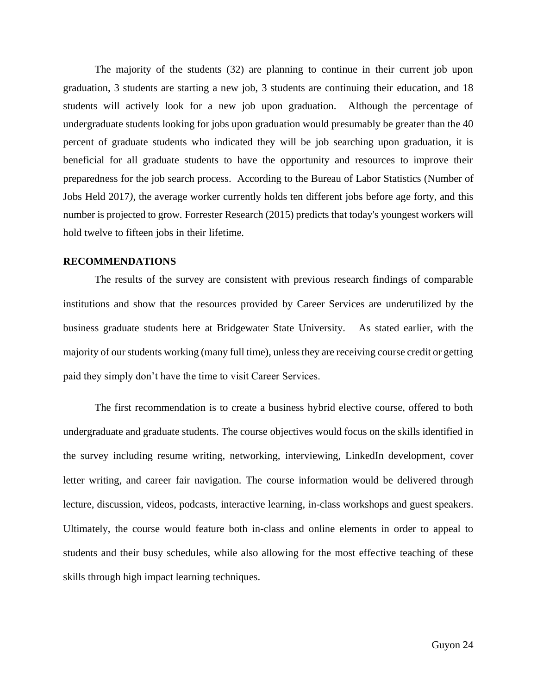The majority of the students (32) are planning to continue in their current job upon graduation, 3 students are starting a new job, 3 students are continuing their education, and 18 students will actively look for a new job upon graduation. Although the percentage of undergraduate students looking for jobs upon graduation would presumably be greater than the 40 percent of graduate students who indicated they will be job searching upon graduation, it is beneficial for all graduate students to have the opportunity and resources to improve their preparedness for the job search process. According to the Bureau of Labor Statistics (Number of Jobs Held 2017*)*, the average worker currently holds ten different jobs before age forty, and this number is projected to grow*.* Forrester Research (2015) predicts that today's youngest workers will hold twelve to fifteen jobs in their lifetime.

#### <span id="page-24-0"></span>**RECOMMENDATIONS**

The results of the survey are consistent with previous research findings of comparable institutions and show that the resources provided by Career Services are underutilized by the business graduate students here at Bridgewater State University. As stated earlier, with the majority of our students working (many full time), unless they are receiving course credit or getting paid they simply don't have the time to visit Career Services.

The first recommendation is to create a business hybrid elective course, offered to both undergraduate and graduate students. The course objectives would focus on the skills identified in the survey including resume writing, networking, interviewing, LinkedIn development, cover letter writing, and career fair navigation. The course information would be delivered through lecture, discussion, videos, podcasts, interactive learning, in-class workshops and guest speakers. Ultimately, the course would feature both in-class and online elements in order to appeal to students and their busy schedules, while also allowing for the most effective teaching of these skills through high impact learning techniques.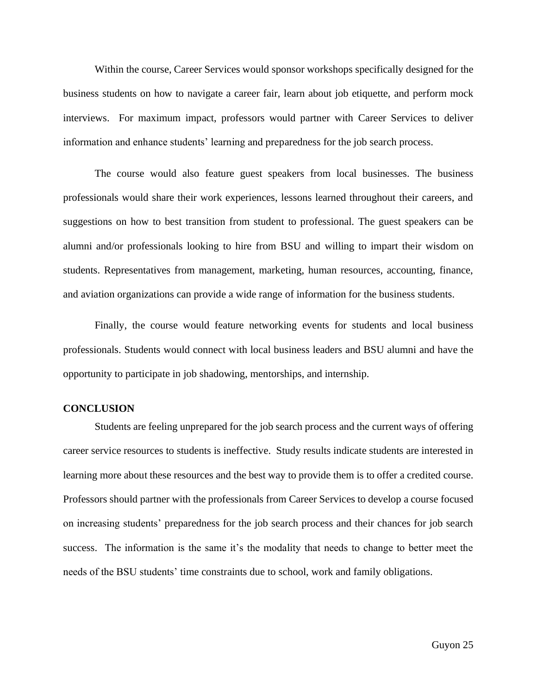Within the course, Career Services would sponsor workshops specifically designed for the business students on how to navigate a career fair, learn about job etiquette, and perform mock interviews. For maximum impact, professors would partner with Career Services to deliver information and enhance students' learning and preparedness for the job search process.

The course would also feature guest speakers from local businesses. The business professionals would share their work experiences, lessons learned throughout their careers, and suggestions on how to best transition from student to professional. The guest speakers can be alumni and/or professionals looking to hire from BSU and willing to impart their wisdom on students. Representatives from management, marketing, human resources, accounting, finance, and aviation organizations can provide a wide range of information for the business students.

Finally, the course would feature networking events for students and local business professionals. Students would connect with local business leaders and BSU alumni and have the opportunity to participate in job shadowing, mentorships, and internship.

#### <span id="page-25-0"></span>**CONCLUSION**

<span id="page-25-1"></span>Students are feeling unprepared for the job search process and the current ways of offering career service resources to students is ineffective. Study results indicate students are interested in learning more about these resources and the best way to provide them is to offer a credited course. Professors should partner with the professionals from Career Services to develop a course focused on increasing students' preparedness for the job search process and their chances for job search success. The information is the same it's the modality that needs to change to better meet the needs of the BSU students' time constraints due to school, work and family obligations.